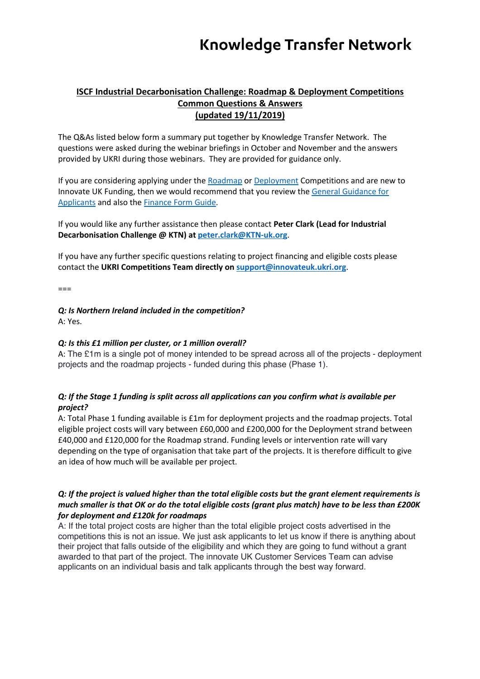## **ISCF Industrial Decarbonisation Challenge: Roadmap & Deployment Competitions Common Questions & Answers (updated 19/11/2019)**

The Q&As listed below form a summary put together by Knowledge Transfer Network. The questions were asked during the webinar briefings in October and November and the answers provided by UKRI during those webinars. They are provided for guidance only.

If you are considering applying under the Roadmap or Deployment Competitions and are new to Innovate UK Funding, then we would recommend that you review the General Guidance for Applicants and also the Finance Form Guide.

If you would like any further assistance then please contact **Peter Clark (Lead for Industrial Decarbonisation Challenge @ KTN) at peter.clark@KTN-uk.org**.

If you have any further specific questions relating to project financing and eligible costs please contact the **UKRI Competitions Team directly on support@innovateuk.ukri.org**.

 $===$ 

*Q: Is Northern Ireland included in the competition?*

A: Yes.

#### *Q: Is this £1 million per cluster, or 1 million overall?*

A: The £1m is a single pot of money intended to be spread across all of the projects - deployment projects and the roadmap projects - funded during this phase (Phase 1).

## *Q: If the Stage 1 funding is split across all applications can you confirm what is available per project?*

A: Total Phase 1 funding available is £1m for deployment projects and the roadmap projects. Total eligible project costs will vary between £60,000 and £200,000 for the Deployment strand between £40,000 and £120,000 for the Roadmap strand. Funding levels or intervention rate will vary depending on the type of organisation that take part of the projects. It is therefore difficult to give an idea of how much will be available per project.

### *Q: If the project is valued higher than the total eligible costs but the grant element requirements is much smaller is that OK or do the total eligible costs (grant plus match) have to be less than £200K for deployment and £120k for roadmaps*

A: If the total project costs are higher than the total eligible project costs advertised in the competitions this is not an issue. We just ask applicants to let us know if there is anything about their project that falls outside of the eligibility and which they are going to fund without a grant awarded to that part of the project. The innovate UK Customer Services Team can advise applicants on an individual basis and talk applicants through the best way forward.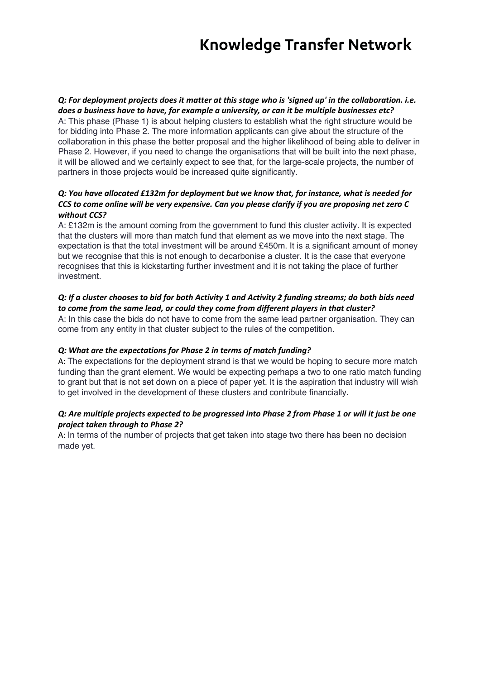#### *Q: For deployment projects does it matter at this stage who is 'signed up' in the collaboration. i.e. does a business have to have, for example a university, or can it be multiple businesses etc?*

A: This phase (Phase 1) is about helping clusters to establish what the right structure would be for bidding into Phase 2. The more information applicants can give about the structure of the collaboration in this phase the better proposal and the higher likelihood of being able to deliver in Phase 2. However, if you need to change the organisations that will be built into the next phase, it will be allowed and we certainly expect to see that, for the large-scale projects, the number of partners in those projects would be increased quite significantly.

## *Q: You have allocated £132m for deployment but we know that, for instance, what is needed for CCS to come online will be very expensive. Can you please clarify if you are proposing net zero C without CCS?*

A: £132m is the amount coming from the government to fund this cluster activity. It is expected that the clusters will more than match fund that element as we move into the next stage. The expectation is that the total investment will be around £450m. It is a significant amount of money but we recognise that this is not enough to decarbonise a cluster. It is the case that everyone recognises that this is kickstarting further investment and it is not taking the place of further investment.

## *Q: If a cluster chooses to bid for both Activity 1 and Activity 2 funding streams; do both bids need to come from the same lead, or could they come from different players in that cluster?*

A: In this case the bids do not have to come from the same lead partner organisation. They can come from any entity in that cluster subject to the rules of the competition.

## *Q: What are the expectations for Phase 2 in terms of match funding?*

A: The expectations for the deployment strand is that we would be hoping to secure more match funding than the grant element. We would be expecting perhaps a two to one ratio match funding to grant but that is not set down on a piece of paper yet. It is the aspiration that industry will wish to get involved in the development of these clusters and contribute financially.

### *Q: Are multiple projects expected to be progressed into Phase 2 from Phase 1 or will it just be one project taken through to Phase 2?*

A: In terms of the number of projects that get taken into stage two there has been no decision made yet.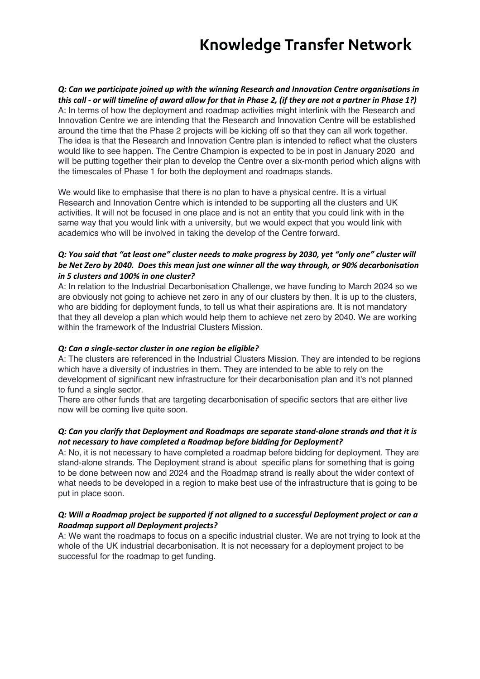*Q: Can we participate joined up with the winning Research and Innovation Centre organisations in this call - or will timeline of award allow for that in Phase 2, (if they are not a partner in Phase 1?)* A: In terms of how the deployment and roadmap activities might interlink with the Research and Innovation Centre we are intending that the Research and Innovation Centre will be established around the time that the Phase 2 projects will be kicking off so that they can all work together. The idea is that the Research and Innovation Centre plan is intended to reflect what the clusters would like to see happen. The Centre Champion is expected to be in post in January 2020 and will be putting together their plan to develop the Centre over a six-month period which aligns with the timescales of Phase 1 for both the deployment and roadmaps stands.

We would like to emphasise that there is no plan to have a physical centre. It is a virtual Research and Innovation Centre which is intended to be supporting all the clusters and UK activities. It will not be focused in one place and is not an entity that you could link with in the same way that you would link with a university, but we would expect that you would link with academics who will be involved in taking the develop of the Centre forward.

### *Q: You said that "at least one" cluster needs to make progress by 2030, yet "only one" cluster will be Net Zero by 2040. Does this mean just one winner all the way through, or 90% decarbonisation in 5 clusters and 100% in one cluster?*

A: In relation to the Industrial Decarbonisation Challenge, we have funding to March 2024 so we are obviously not going to achieve net zero in any of our clusters by then. It is up to the clusters, who are bidding for deployment funds, to tell us what their aspirations are. It is not mandatory that they all develop a plan which would help them to achieve net zero by 2040. We are working within the framework of the Industrial Clusters Mission.

#### *Q: Can a single-sector cluster in one region be eligible?*

A: The clusters are referenced in the Industrial Clusters Mission. They are intended to be regions which have a diversity of industries in them. They are intended to be able to rely on the development of significant new infrastructure for their decarbonisation plan and it's not planned to fund a single sector.

There are other funds that are targeting decarbonisation of specific sectors that are either live now will be coming live quite soon.

### *Q: Can you clarify that Deployment and Roadmaps are separate stand-alone strands and that it is not necessary to have completed a Roadmap before bidding for Deployment?*

A: No, it is not necessary to have completed a roadmap before bidding for deployment. They are stand-alone strands. The Deployment strand is about specific plans for something that is going to be done between now and 2024 and the Roadmap strand is really about the wider context of what needs to be developed in a region to make best use of the infrastructure that is going to be put in place soon.

### *Q: Will a Roadmap project be supported if not aligned to a successful Deployment project or can a Roadmap support all Deployment projects?*

A: We want the roadmaps to focus on a specific industrial cluster. We are not trying to look at the whole of the UK industrial decarbonisation. It is not necessary for a deployment project to be successful for the roadmap to get funding.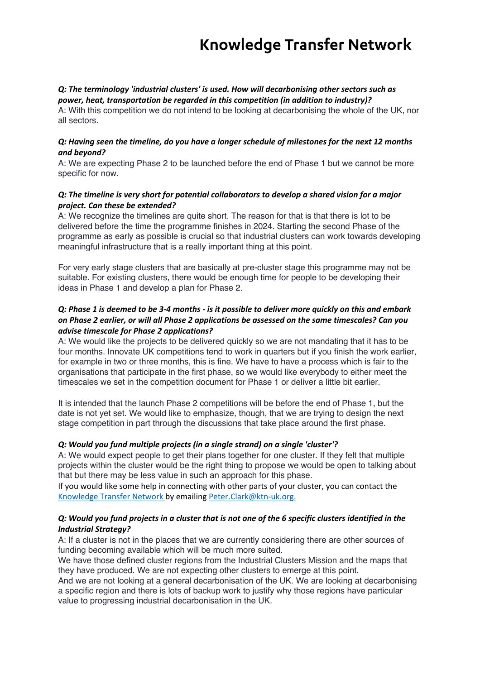#### *Q: The terminology 'industrial clusters' is used. How will decarbonising other sectors such as power, heat, transportation be regarded in this competition (in addition to industry)?*

A: With this competition we do not intend to be looking at decarbonising the whole of the UK, nor all sectors.

#### *Q: Having seen the timeline, do you have a longer schedule of milestones for the next 12 months and beyond?*

A: We are expecting Phase 2 to be launched before the end of Phase 1 but we cannot be more specific for now.

### *Q: The timeline is very short for potential collaborators to develop a shared vision for a major project. Can these be extended?*

A: We recognize the timelines are quite short. The reason for that is that there is lot to be delivered before the time the programme finishes in 2024. Starting the second Phase of the programme as early as possible is crucial so that industrial clusters can work towards developing meaningful infrastructure that is a really important thing at this point.

For very early stage clusters that are basically at pre-cluster stage this programme may not be suitable. For existing clusters, there would be enough time for people to be developing their ideas in Phase 1 and develop a plan for Phase 2.

## *Q: Phase 1 is deemed to be 3-4 months - is it possible to deliver more quickly on this and embark on Phase 2 earlier, or will all Phase 2 applications be assessed on the same timescales? Can you advise timescale for Phase 2 applications?*

A: We would like the projects to be delivered quickly so we are not mandating that it has to be four months. Innovate UK competitions tend to work in quarters but if you finish the work earlier, for example in two or three months, this is fine. We have to have a process which is fair to the organisations that participate in the first phase, so we would like everybody to either meet the timescales we set in the competition document for Phase 1 or deliver a little bit earlier.

It is intended that the launch Phase 2 competitions will be before the end of Phase 1, but the date is not yet set. We would like to emphasize, though, that we are trying to design the next stage competition in part through the discussions that take place around the first phase.

## *Q: Would you fund multiple projects (in a single strand) on a single 'cluster'?*

A: We would expect people to get their plans together for one cluster. If they felt that multiple projects within the cluster would be the right thing to propose we would be open to talking about that but there may be less value in such an approach for this phase.

If you would like some help in connecting with other parts of your cluster, you can contact the Knowledge Transfer Network by emailing Peter.Clark@ktn-uk.org.

## *Q: Would you fund projects in a cluster that is not one of the 6 specific clusters identified in the Industrial Strategy?*

A: If a cluster is not in the places that we are currently considering there are other sources of funding becoming available which will be much more suited.

We have those defined cluster regions from the Industrial Clusters Mission and the maps that they have produced. We are not expecting other clusters to emerge at this point.

And we are not looking at a general decarbonisation of the UK. We are looking at decarbonising a specific region and there is lots of backup work to justify why those regions have particular value to progressing industrial decarbonisation in the UK.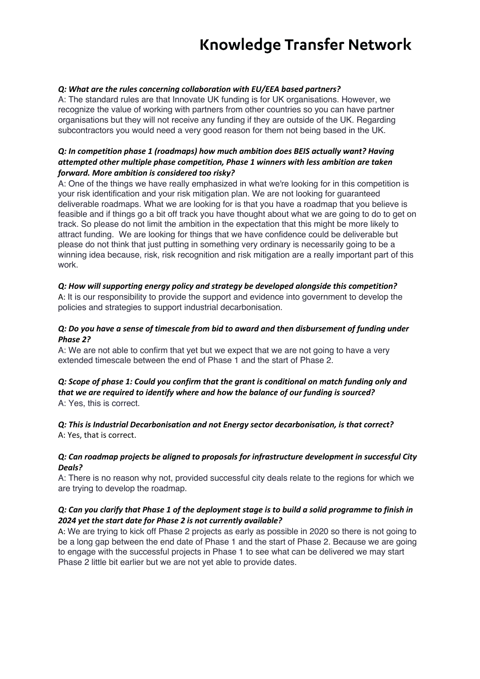#### *Q: What are the rules concerning collaboration with EU/EEA based partners?*

A: The standard rules are that Innovate UK funding is for UK organisations. However, we recognize the value of working with partners from other countries so you can have partner organisations but they will not receive any funding if they are outside of the UK. Regarding subcontractors you would need a very good reason for them not being based in the UK.

### *Q: In competition phase 1 (roadmaps) how much ambition does BEIS actually want? Having attempted other multiple phase competition, Phase 1 winners with less ambition are taken forward. More ambition is considered too risky?*

A: One of the things we have really emphasized in what we're looking for in this competition is your risk identification and your risk mitigation plan. We are not looking for guaranteed deliverable roadmaps. What we are looking for is that you have a roadmap that you believe is feasible and if things go a bit off track you have thought about what we are going to do to get on track. So please do not limit the ambition in the expectation that this might be more likely to attract funding. We are looking for things that we have confidence could be deliverable but please do not think that just putting in something very ordinary is necessarily going to be a winning idea because, risk, risk recognition and risk mitigation are a really important part of this work.

#### *Q: How will supporting energy policy and strategy be developed alongside this competition?*

A: It is our responsibility to provide the support and evidence into government to develop the policies and strategies to support industrial decarbonisation.

### *Q: Do you have a sense of timescale from bid to award and then disbursement of funding under Phase 2?*

A: We are not able to confirm that yet but we expect that we are not going to have a very extended timescale between the end of Phase 1 and the start of Phase 2.

#### *Q: Scope of phase 1: Could you confirm that the grant is conditional on match funding only and that we are required to identify where and how the balance of our funding is sourced?* A: Yes, this is correct.

*Q: This is Industrial Decarbonisation and not Energy sector decarbonisation, is that correct?* A: Yes, that is correct.

#### *Q: Can roadmap projects be aligned to proposals for infrastructure development in successful City Deals?*

A: There is no reason why not, provided successful city deals relate to the regions for which we are trying to develop the roadmap.

### *Q: Can you clarify that Phase 1 of the deployment stage is to build a solid programme to finish in 2024 yet the start date for Phase 2 is not currently available?*

A: We are trying to kick off Phase 2 projects as early as possible in 2020 so there is not going to be a long gap between the end date of Phase 1 and the start of Phase 2. Because we are going to engage with the successful projects in Phase 1 to see what can be delivered we may start Phase 2 little bit earlier but we are not yet able to provide dates.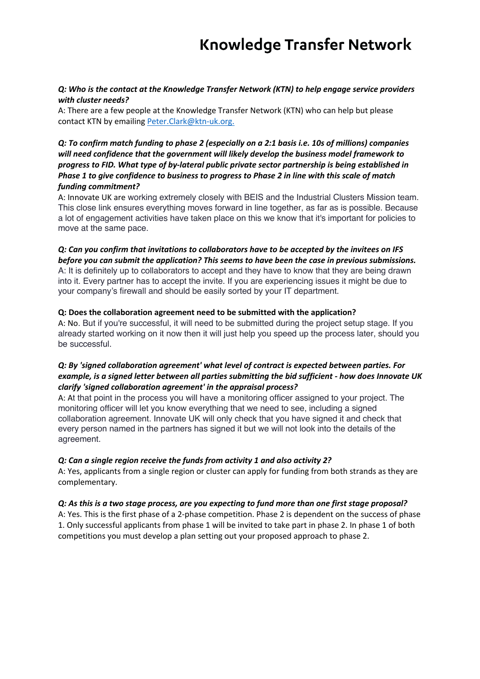### *Q: Who is the contact at the Knowledge Transfer Network (KTN) to help engage service providers with cluster needs?*

A: There are a few people at the Knowledge Transfer Network (KTN) who can help but please contact KTN by emailing Peter.Clark@ktn-uk.org.

## *Q: To confirm match funding to phase 2 (especially on a 2:1 basis i.e. 10s of millions) companies will need confidence that the government will likely develop the business model framework to progress to FID. What type of by-lateral public private sector partnership is being established in Phase 1 to give confidence to business to progress to Phase 2 in line with this scale of match funding commitment?*

A: Innovate UK are working extremely closely with BEIS and the Industrial Clusters Mission team. This close link ensures everything moves forward in line together, as far as is possible. Because a lot of engagement activities have taken place on this we know that it's important for policies to move at the same pace.

#### *Q: Can you confirm that invitations to collaborators have to be accepted by the invitees on IFS before you can submit the application? This seems to have been the case in previous submissions.*

A: It is definitely up to collaborators to accept and they have to know that they are being drawn into it. Every partner has to accept the invite. If you are experiencing issues it might be due to your company's firewall and should be easily sorted by your IT department.

### **Q: Does the collaboration agreement need to be submitted with the application?**

A: No. But if you're successful, it will need to be submitted during the project setup stage. If you already started working on it now then it will just help you speed up the process later, should you be successful.

## *Q: By 'signed collaboration agreement' what level of contract is expected between parties. For example, is a signed letter between all parties submitting the bid sufficient - how does Innovate UK clarify 'signed collaboration agreement' in the appraisal process?*

A: At that point in the process you will have a monitoring officer assigned to your project. The monitoring officer will let you know everything that we need to see, including a signed collaboration agreement. Innovate UK will only check that you have signed it and check that every person named in the partners has signed it but we will not look into the details of the agreement.

## *Q: Can a single region receive the funds from activity 1 and also activity 2?*

A: Yes, applicants from a single region or cluster can apply for funding from both strands as they are complementary.

#### *Q: As this is a two stage process, are you expecting to fund more than one first stage proposal?*

A: Yes. This is the first phase of a 2-phase competition. Phase 2 is dependent on the success of phase 1. Only successful applicants from phase 1 will be invited to take part in phase 2. In phase 1 of both competitions you must develop a plan setting out your proposed approach to phase 2.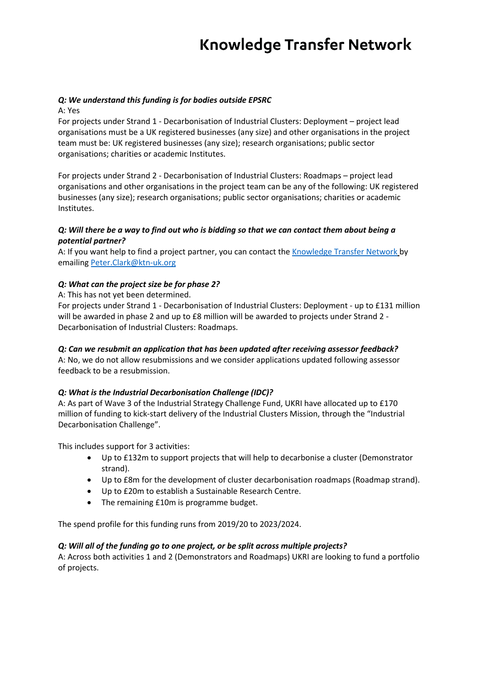## *Q: We understand this funding is for bodies outside EPSRC*

A: Yes

For projects under Strand 1 - Decarbonisation of Industrial Clusters: Deployment – project lead organisations must be a UK registered businesses (any size) and other organisations in the project team must be: UK registered businesses (any size); research organisations; public sector organisations; charities or academic Institutes.

For projects under Strand 2 - Decarbonisation of Industrial Clusters: Roadmaps – project lead organisations and other organisations in the project team can be any of the following: UK registered businesses (any size); research organisations; public sector organisations; charities or academic Institutes.

## *Q: Will there be a way to find out who is bidding so that we can contact them about being a potential partner?*

A: If you want help to find a project partner, you can contact the Knowledge Transfer Network by emailing Peter.Clark@ktn-uk.org

## *Q: What can the project size be for phase 2?*

A: This has not yet been determined.

For projects under Strand 1 - Decarbonisation of Industrial Clusters: Deployment - up to £131 million will be awarded in phase 2 and up to £8 million will be awarded to projects under Strand 2 -Decarbonisation of Industrial Clusters: Roadmaps.

## *Q: Can we resubmit an application that has been updated after receiving assessor feedback?*

A: No, we do not allow resubmissions and we consider applications updated following assessor feedback to be a resubmission.

#### *Q: What is the Industrial Decarbonisation Challenge (IDC)?*

A: As part of Wave 3 of the Industrial Strategy Challenge Fund, UKRI have allocated up to £170 million of funding to kick-start delivery of the Industrial Clusters Mission, through the "Industrial Decarbonisation Challenge".

This includes support for 3 activities:

- Up to £132m to support projects that will help to decarbonise a cluster (Demonstrator strand).
- Up to £8m for the development of cluster decarbonisation roadmaps (Roadmap strand).
- Up to £20m to establish a Sustainable Research Centre.
- The remaining £10m is programme budget.

The spend profile for this funding runs from 2019/20 to 2023/2024.

#### *Q: Will all of the funding go to one project, or be split across multiple projects?*

A: Across both activities 1 and 2 (Demonstrators and Roadmaps) UKRI are looking to fund a portfolio of projects.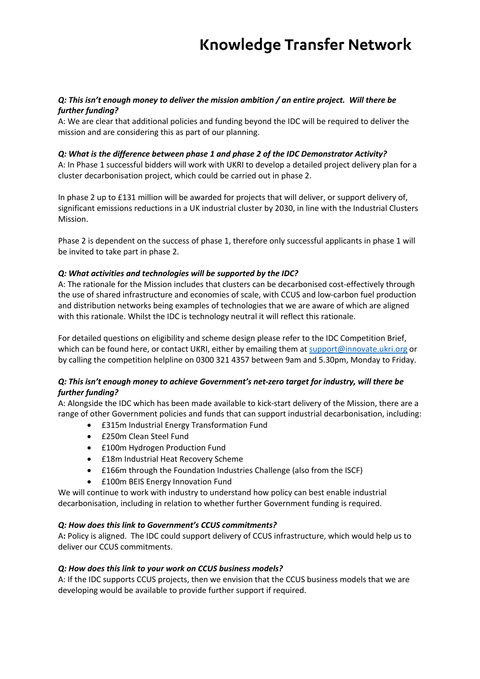## *Q: This isn't enough money to deliver the mission ambition / an entire project. Will there be further funding?*

A: We are clear that additional policies and funding beyond the IDC will be required to deliver the mission and are considering this as part of our planning.

## *Q: What is the difference between phase 1 and phase 2 of the IDC Demonstrator Activity?*

A: In Phase 1 successful bidders will work with UKRI to develop a detailed project delivery plan for a cluster decarbonisation project, which could be carried out in phase 2.

In phase 2 up to £131 million will be awarded for projects that will deliver, or support delivery of, significant emissions reductions in a UK industrial cluster by 2030, in line with the Industrial Clusters Mission.

Phase 2 is dependent on the success of phase 1, therefore only successful applicants in phase 1 will be invited to take part in phase 2.

## *Q: What activities and technologies will be supported by the IDC?*

A: The rationale for the Mission includes that clusters can be decarbonised cost-effectively through the use of shared infrastructure and economies of scale, with CCUS and low-carbon fuel production and distribution networks being examples of technologies that we are aware of which are aligned with this rationale. Whilst the IDC is technology neutral it will reflect this rationale.

For detailed questions on eligibility and scheme design please refer to the IDC Competition Brief, which can be found here, or contact UKRI, either by emailing them at support@innovate.ukri.org or by calling the competition helpline on 0300 321 4357 between 9am and 5.30pm, Monday to Friday.

### *Q: This isn't enough money to achieve Government's net-zero target for industry, will there be further funding?*

A: Alongside the IDC which has been made available to kick-start delivery of the Mission, there are a range of other Government policies and funds that can support industrial decarbonisation, including:

- £315m Industrial Energy Transformation Fund
- £250m Clean Steel Fund
- £100m Hydrogen Production Fund
- £18m Industrial Heat Recovery Scheme
- £166m through the Foundation Industries Challenge (also from the ISCF)
- £100m BEIS Energy Innovation Fund

We will continue to work with industry to understand how policy can best enable industrial decarbonisation, including in relation to whether further Government funding is required.

#### *Q: How does this link to Government's CCUS commitments?*

A**:** Policy is aligned. The IDC could support delivery of CCUS infrastructure, which would help us to deliver our CCUS commitments.

#### *Q: How does this link to your work on CCUS business models?*

A: If the IDC supports CCUS projects, then we envision that the CCUS business models that we are developing would be available to provide further support if required.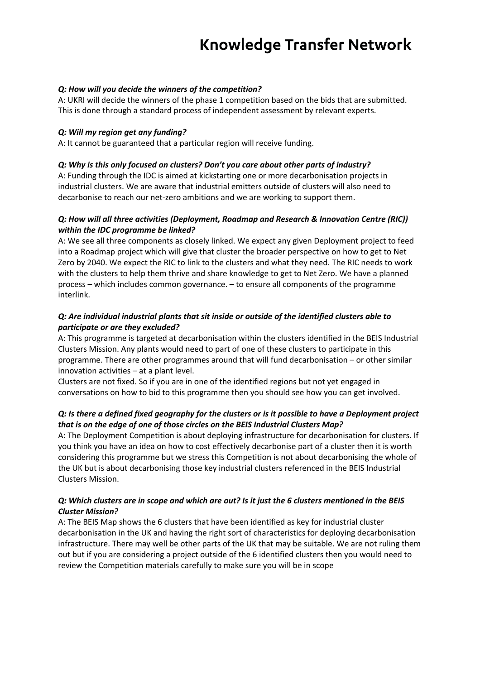## *Q: How will you decide the winners of the competition?*

A: UKRI will decide the winners of the phase 1 competition based on the bids that are submitted. This is done through a standard process of independent assessment by relevant experts.

#### *Q: Will my region get any funding?*

A: It cannot be guaranteed that a particular region will receive funding.

### *Q: Why is this only focused on clusters? Don't you care about other parts of industry?*

A: Funding through the IDC is aimed at kickstarting one or more decarbonisation projects in industrial clusters. We are aware that industrial emitters outside of clusters will also need to decarbonise to reach our net-zero ambitions and we are working to support them.

## *Q: How will all three activities (Deployment, Roadmap and Research & Innovation Centre (RIC)) within the IDC programme be linked?*

A: We see all three components as closely linked. We expect any given Deployment project to feed into a Roadmap project which will give that cluster the broader perspective on how to get to Net Zero by 2040. We expect the RIC to link to the clusters and what they need. The RIC needs to work with the clusters to help them thrive and share knowledge to get to Net Zero. We have a planned process – which includes common governance. – to ensure all components of the programme interlink.

## *Q: Are individual industrial plants that sit inside or outside of the identified clusters able to participate or are they excluded?*

A: This programme is targeted at decarbonisation within the clusters identified in the BEIS Industrial Clusters Mission. Any plants would need to part of one of these clusters to participate in this programme. There are other programmes around that will fund decarbonisation – or other similar innovation activities – at a plant level.

Clusters are not fixed. So if you are in one of the identified regions but not yet engaged in conversations on how to bid to this programme then you should see how you can get involved.

## *Q: Is there a defined fixed geography for the clusters or is it possible to have a Deployment project that is on the edge of one of those circles on the BEIS Industrial Clusters Map?*

A: The Deployment Competition is about deploying infrastructure for decarbonisation for clusters. If you think you have an idea on how to cost effectively decarbonise part of a cluster then it is worth considering this programme but we stress this Competition is not about decarbonising the whole of the UK but is about decarbonising those key industrial clusters referenced in the BEIS Industrial Clusters Mission.

### *Q: Which clusters are in scope and which are out? Is it just the 6 clusters mentioned in the BEIS Cluster Mission?*

A: The BEIS Map shows the 6 clusters that have been identified as key for industrial cluster decarbonisation in the UK and having the right sort of characteristics for deploying decarbonisation infrastructure. There may well be other parts of the UK that may be suitable. We are not ruling them out but if you are considering a project outside of the 6 identified clusters then you would need to review the Competition materials carefully to make sure you will be in scope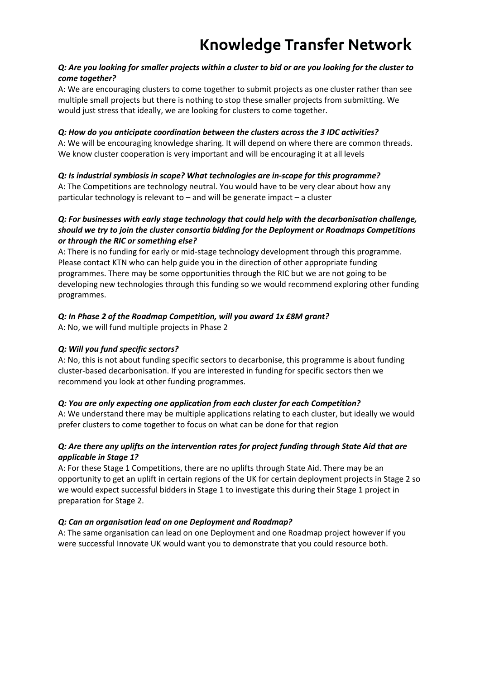## *Q: Are you looking for smaller projects within a cluster to bid or are you looking for the cluster to come together?*

A: We are encouraging clusters to come together to submit projects as one cluster rather than see multiple small projects but there is nothing to stop these smaller projects from submitting. We would just stress that ideally, we are looking for clusters to come together.

## *Q: How do you anticipate coordination between the clusters across the 3 IDC activities?*

A: We will be encouraging knowledge sharing. It will depend on where there are common threads. We know cluster cooperation is very important and will be encouraging it at all levels

## *Q: Is industrial symbiosis in scope? What technologies are in-scope for this programme?*

A: The Competitions are technology neutral. You would have to be very clear about how any particular technology is relevant to – and will be generate impact – a cluster

## *Q: For businesses with early stage technology that could help with the decarbonisation challenge, should we try to join the cluster consortia bidding for the Deployment or Roadmaps Competitions or through the RIC or something else?*

A: There is no funding for early or mid-stage technology development through this programme. Please contact KTN who can help guide you in the direction of other appropriate funding programmes. There may be some opportunities through the RIC but we are not going to be developing new technologies through this funding so we would recommend exploring other funding programmes.

## *Q: In Phase 2 of the Roadmap Competition, will you award 1x £8M grant?*

A: No, we will fund multiple projects in Phase 2

## *Q: Will you fund specific sectors?*

A: No, this is not about funding specific sectors to decarbonise, this programme is about funding cluster-based decarbonisation. If you are interested in funding for specific sectors then we recommend you look at other funding programmes.

## *Q: You are only expecting one application from each cluster for each Competition?*

A: We understand there may be multiple applications relating to each cluster, but ideally we would prefer clusters to come together to focus on what can be done for that region

## *Q: Are there any uplifts on the intervention rates for project funding through State Aid that are applicable in Stage 1?*

A: For these Stage 1 Competitions, there are no uplifts through State Aid. There may be an opportunity to get an uplift in certain regions of the UK for certain deployment projects in Stage 2 so we would expect successful bidders in Stage 1 to investigate this during their Stage 1 project in preparation for Stage 2.

## *Q: Can an organisation lead on one Deployment and Roadmap?*

A: The same organisation can lead on one Deployment and one Roadmap project however if you were successful Innovate UK would want you to demonstrate that you could resource both.